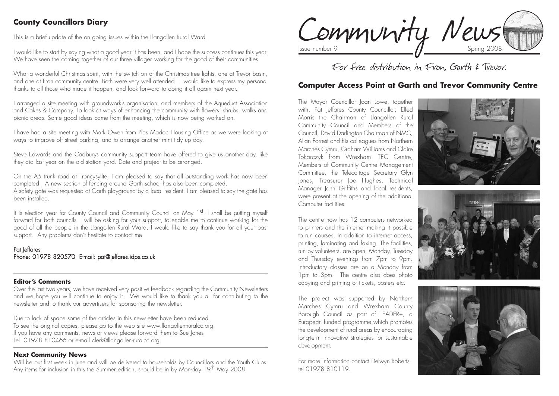# **County Councillors Diary**

This is a brief update of the on going issues within the Llangollen Rural Ward.

I would like to start by saying what a good year it has been, and I hope the success continues this year. We have seen the coming together of our three villages working for the good of their communities.

What a wonderful Christmas spirit, with the switch on of the Christmas tree lights, one at Trevor basin, and one at Fron community centre. Both were very well attended. I would like to express my personal thanks to all those who made it happen, and look forward to doing it all again next year.

I arranged a site meeting with groundwork's organisation, and members of the Aqueduct Association and Cakes & Company. To look at ways of enhancing the community with flowers, shrubs, walks and picnic areas. Some good ideas came from the meeting, which is now being worked on.

I have had a site meeting with Mark Owen from Plas Madoc Housing Office as we were looking at ways to improve off street parking, and to arrange another mini tidy up day.

Steve Edwards and the Cadburys community support team have offered to give us another day, like they did last year on the old station yard. Date and project to be arranged.

On the A5 trunk road at Froncysyllte, I am pleased to say that all outstanding work has now been completed. A new section of fencing around Garth school has also been completed. A safety gate was requested at Garth playground by a local resident. I am pleased to say the gate has been installed.

It is election year for County Council and Community Council on May 1st. I shall be putting myself forward for both councils. I will be asking for your support, to enable me to continue working for the good of all the people in the Llangollen Rural Ward. I would like to say thank you for all your past support. Any problems don't hesitate to contact me

#### Pat Jeffares Phone: 01978 820570 E-mail: pat@jeffares.idps.co.uk

#### **Editor's Comments**

Over the last two years, we have received very positive feedback regarding the Community Newsletters and we hope you will continue to enjoy it. We would like to thank you all for contributing to the newsletter and to thank our advertisers for sponsoring the newsletter.

Due to lack of space some of the articles in this newsletter have been reduced. To see the original copies, please go to the web site www.llangollen-ruralcc.org If you have any comments, news or views please forward them to Sue Jones Tel. 01978 810466 or e-mail clerk@llangollen-ruralcc.org

#### **Next Community News**

Will be out first week in June and will be delivered to households by Councillors and the Youth Clubs. Any items for inclusion in this the Summer edition, should be in by Mon-day 19<sup>th</sup> May 2008.

Community News

For free distribution in Fron, Garth & Trevor.

### **Computer Access Point at Garth and Trevor Community Centre**

The Mayor Councillor Joan Lowe, together with, Pat Jeffares County Councillor, Elfed Morris the Chairman of Llangollen Rural Community Council and Members of the Council, David Darlington Chairman of NMC, Allan Forrest and his colleagues from Northern Marches Cymru, Graham Williams and Claire Tokarczyk from Wrexham ITEC Centre, Members of Community Centre Management Committee, the Telecottage Secretary Glyn Jones, Treasurer Joe Hughes, Technical Manager John Griffiths and local residents, were present at the opening of the additional Computer facilities.

The centre now has 12 computers networked to printers and the internet making it possible to run courses, in addition to internet access, printing, laminating and faxing. The facilities, run by volunteers, are open, Monday, Tuesday and Thursday evenings from 7pm to 9pm. introductory classes are on a Monday from 1pm to 3pm. The centre also does photo copying and printing of tickets, posters etc.

The project was supported by Northern Marches Cymru and Wrexham County Borough Council as part of LEADER+, a European funded programme which promotes the development of rural areas by encouraging long-term innovative strategies for sustainable development.

For more information contact Delwyn Roberts tel 01978 810119.





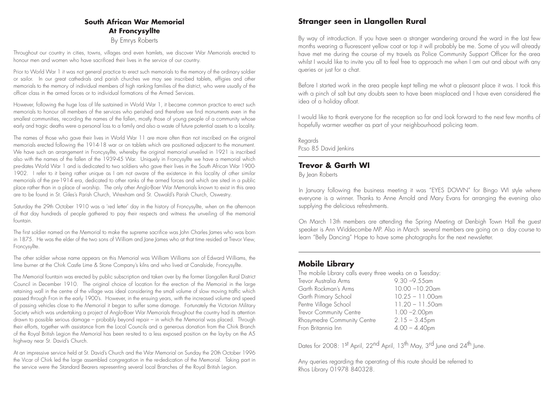## **South African War Memorial At Froncysyllte**

By Emrys Roberts

Throughout our country in cities, towns, villages and even hamlets, we discover War Memorials erected to honour men and women who have sacrificed their lives in the service of our country.

Prior to World War 1 it was not general practice to erect such memorials to the memory of the ordinary soldier or sailor. In our great cathedrals and parish churches we may see inscribed tablets, effigies and other memorials to the memory of individual members of high ranking families of the district, who were usually of the officer class in the armed forces or to individual formations of the Armed Services.

However, following the huge loss of life sustained in World War 1, it became common practice to erect such memorials to honour all members of the services who perished and therefore we find monuments even in the smallest communities, recording the names of the fallen, mostly those of young people of a community whose early and tragic deaths were a personal loss to a family and also a waste of future potential assets to a locality.

The names of those who gave their lives in World War 11 are more often than not inscribed on the original memorials erected following the 1914-18 war or on tablets which are positioned adjacent to the monument. We have such an arrangement in Froncysyllte, whereby the original memorial unveiled in 1921 is inscribed also with the names of the fallen of the 1939-45 War. Uniquely in Froncysyllte we have a memorial which pre-dates World War 1 and is dedicated to two soldiers who gave their lives in the South African War 1900- 1902. I refer to it being rather unique as I am not aware of the existence in this locality of other similar memorials of the pre-1914 era, dedicated to other ranks of the armed forces and which are sited in a public place rather than in a place of worship. The only other Anglo-Boer War Memorials known to exist in this area are to be found in St. Giles's Parish Church, Wrexham and St. Oswald's Parish Church, Oswestry.

Saturday the 29th October 1910 was a 'red letter' day in the history of Froncysyllte, when on the afternoon of that day hundreds of people gathered to pay their respects and witness the unveiling of the memorial fountain.

The first soldier named on the Memorial to make the supreme sacrifice was John Charles James who was born in 1875. He was the elder of the two sons of William and Jane James who at that time resided at Trevor View, Froncysyllte.

The other soldier whose name appears on this Memorial was William Williams son of Edward Williams, the lime burner at the Chirk Castle Lime & Stone Company's kilns and who lived at Canalside, Froncysyllte.

The Memorial fountain was erected by public subscription and taken over by the former Llangollen Rural District Council in December 1910. The original choice of location for the erection of the Memorial in the large retaining wall in the centre of the village was ideal considering the small volume of slow moving traffic which passed through Fron in the early 1900's. However, in the ensuing years, with the increased volume and speed of passing vehicles close to the Memorial it began to suffer some damage. Fortunately the Victorian Military Society which was undertaking a project of Anglo-Boer War Memorials throughout the country had its attention drawn to possible serious damage – probably beyond repair – in which the Memorial was placed. Through their efforts, together with assistance from the Local Councils and a generous donation from the Chirk Branch of the Royal British Legion the Memorial has been re-sited to a less exposed position on the lay-by on the A5 highway near St. David's Church.

At an impressive service held at St. David's Church and the War Memorial on Sunday the 20th October 1996 the Vicar of Chirk led the large assembled congregation in the re-dedication of the Memorial. Taking part in the service were the Standard Bearers representing several local Branches of the Royal British Legion.

# **Stranger seen in Llangollen Rural**

By way of introduction. If you have seen a stranger wandering around the ward in the last few months wearing a fluorescent yellow coat or top it will probably be me. Some of you will already have met me during the course of my travels as Police Community Support Officer for the area whilst I would like to invite you all to feel free to approach me when I am out and about with any queries or just for a chat.

Before I started work in the area people kept telling me what a pleasant place it was. I took this with a pinch of salt but any doubts seen to have been misplaced and I have even considered the idea of a holiday afloat.

I would like to thank everyone for the reception so far and look forward to the next few months of hopefully warmer weather as part of your neighbourhood policing team.

Regards Pcso 85 David Jenkins

### **Trevor & Garth WI**

By lean Roberts

In January following the business meeting it was "EYES DOWN" for Bingo WI style where everyone is a winner. Thanks to Anne Arnold and Mary Evans for arranging the evening also supplying the delicious refreshments.

On March 13th members are attending the Spring Meeting at Denbigh Town Hall the guest speaker is Ann Widdecombe MP. Also in March several members are going on a day course to learn "Belly Dancing" Hope to have some photographs for the next newsletter.

### **Mobile Library**

The mobile Library calls every three weeks on a Tuesday: Trevor Australia Arms 9.30 –9.55am Garth Rockman's Arms 10.00 –10.20am Garth Primary School 10.25 – 11.00am Pentre Village School 11.20 – 11.50am Trevor Community Centre 1.00 – 2.00pm Rhosymedre Community Centre 2.15 – 3.45pm Fron Britannia Inn  $4.00 - 4.40$ pm

Dates for 2008: 1st April, 22<sup>nd</sup> April, 13<sup>th</sup> May, 3<sup>rd</sup> June and 24<sup>th</sup> June.

Any queries regarding the operating of this route should be referred to Rhos Library 01978 840328.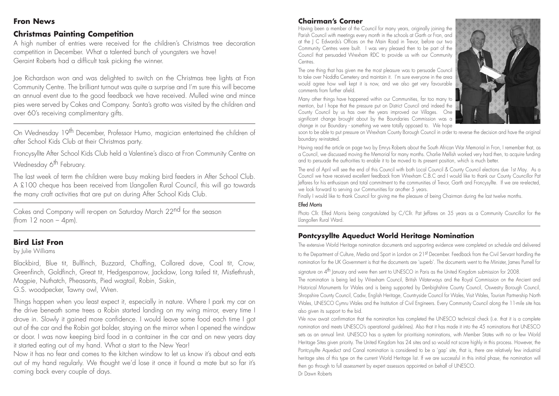#### **Fron News**

# **Christmas Painting Competition**

A high number of entries were received for the children's Christmas tree decoration competition in December. What a talented bunch of youngsters we have! Geraint Roberts had a difficult task picking the winner.

Joe Richardson won and was delighted to switch on the Christmas tree lights at Fron Community Centre. The brilliant turnout was quite a surprise and I'm sure this will become an annual event due to the good feedback we have received. Mulled wine and mince pies were served by Cakes and Company. Santa's grotto was visited by the children and over 60's receiving complimentary gifts.

On Wednesday 19th December, Professor Humo, magician entertained the children of after School Kids Club at their Christmas party.

Froncysyllte After School Kids Club held a Valentine's disco at Fron Community Centre on Wednesday 6<sup>th</sup> February.

The last week of term the children were busy making bird feeders in After School Club. A £100 cheque has been received from Llangollen Rural Council, this will go towards the many craft activities that are put on during After School Kids Club.

Cakes and Company will re-open on Saturday March 22nd for the season (from  $12$  noon  $-$  4pm).

# **Bird List Fron**

by Julie Williams

Blackbird, Blue tit, Bullfinch, Buzzard, Chaffing, Collared dove, Coal tit, Crow, Greenfinch, Goldfinch, Great tit, Hedgesparrow, Jackdaw, Long tailed tit, Mistlethrush, Magpie, Nuthatch, Pheasants, Pied wagtail, Robin, Siskin,

G.S. woodpecker, Tawny owl, Wren.

Things happen when you least expect it, especially in nature. Where I park my car on the drive beneath some trees a Robin started landing on my wing mirror, every time I drove in. Slowly it gained more confidence. I would leave some food each time I got out of the car and the Robin got bolder, staying on the mirror when I opened the window or door. I was now keeping bird food in a container in the car and on new years day it started eating out of my hand. What a start to the New Year!

Now it has no fear and comes to the kitchen window to let us know it's about and eats out of my hand regularly. We thought we'd lose it once it found a mate but so far it's coming back every couple of days.

# **Chairman's Corner**

Having been a member of the Council for many years, originally joining the Parish Council with meetings every month in the schools at Garth or Fron, and at the J C Edwards's Offices on the Main Road in Trevor, before our two Community Centres were built. I was very pleased then to be part of the Council that persuaded Wrexham RDC to provide us with our Community **Centres** 

The one thing that has given me the most pleasure was to persuade Council to take over Noddfa Cemetery and maintain it. I'm sure everyone in the area would agree how well kept it is now, and we also get very favourable comments from further afield.

Many other things have happened within our Communities, far too many to mention, but I hope that the pressure put on District Council and indeed the County Council by us has over the years improved our Villages. One significant change brought about by the Boundaries Commission was a change in our Boundary - something we were totally opposed to. We hope



soon to be able to put pressure on Wrexham County Borough Council in order to reverse the decision and have the original boundary re-instated.

Having read the article on page two by Emrys Roberts about the South African War Memorial in Fron, I remember that, as a Council, we discussed moving the Memorial for many months. Charlie Mellish worked very hard then, to acquire funding and to persuade the authorities to enable it to be moved to its present position, which is much better.

The end of April will see the end of this Council with both Local Council & County Council elections due 1st May. As a Council we have received excellent feedback from Wrexham C.B.C and I would like to thank our County Councillor Pat Jeffares for his enthusiasm and total commitment to the communities of Trevor, Garth and Froncysyllte. If we are re-elected, we look forward to serving our Communities for another 5 years.

Finally I would like to thank Council for giving me the pleasure of being Chairman during the last twelve months.

#### Elfed Morris

Photo Cllr. Elfed Morris being congratulated by C/Cllr. Pat Jeffares on 35 years as a Community Councillor for the Llangollen Rural Ward.

# **Pontcysyllte Aqueduct World Heritage Nomination**

The extensive World Heritage nomination documents and supporting evidence were completed on schedule and delivered to the Department of Culture, Media and Sport in London on 21st December. Feedback from the Civil Servant handling the nomination for the UK Government is that the documents are 'superb'. The documents went to the Minister, James Purnell for

signature on 4<sup>th</sup> January and were then sent to UNESCO in Paris as the United Kingdom submission for 2008.

The nomination is being led by Wrexham Council, British Waterways and the Royal Commission on the Ancient and Historical Monuments for Wales and is being supported by Denbighshire County Council, Oswestry Borough Council, Shropshire County Council, Cadw, English Heritage, Countryside Council for Wales, Visit Wales, Tourism Partnership North Wales, UNESCO Cymru Wales and the Institution of Civil Engineers. Every Community Council along the 11-mile site has also given its support to the bid.

We now await confirmation that the nomination has completed the UNESCO technical check (i.e. that it is a complete nomination and meets UNESCO's operational guidelines). Also that it has made it into the 45 nominations that UNESCO sets as an annual limit. UNESCO has a system for prioritising nominations, with Member States with no or few World Heritage Sites given priority. The United Kingdom has 24 sites and so would not score highly in this process. However, the Pontcysyllte Aqueduct and Canal nomination is considered to be a 'gap' site, that is, there are relatively few industrial heritage sites of this type on the current World Heritage list. If we are successful in this initial phase, the nomination will then go through to full assessment by expert assessors appointed on behalf of UNESCO. Dr Dawn Roberts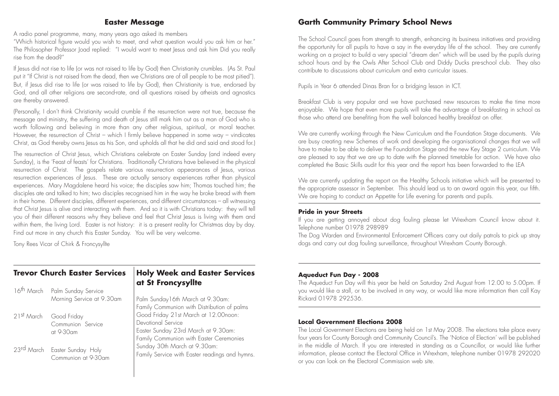#### **Easter Message**

A radio panel programme, many, many years ago asked its members

"Which historical figure would you wish to meet, and what question would you ask him or her." The Philosopher Professor Joad replied: "I would want to meet Jesus and ask him Did you really rise from the dead?"

If Jesus did not rise to life (or was not raised to life by God) then Christianity crumbles. (As St. Paul put it "If Christ is not raised from the dead, then we Christians are of all people to be most pitied"). But, if Jesus did rise to life (or was raised to life by God), then Christianity is true, endorsed by God, and all other religions are second-rate, and all questions raised by atheists and agnostics are thereby answered.

(Personally, I don't think Christianity would crumble if the resurrection were not true, because the message and ministry, the suffering and death of Jesus still mark him out as a man of God who is worth following and believing in more than any other religious, spiritual, or moral teacher. However, the resurrection of Christ – which I firmly believe happened in some way – vindicates Christ, as God thereby owns Jesus as his Son, and upholds all that he did and said and stood for.)

The resurrection of Christ Jesus, which Christians celebrate on Easter Sunday (and indeed every Sunday), is the 'Feast of feasts' for Christians. Traditionally Christians have believed in the physical resurrection of Christ. The gospels relate various resurrection appearances of Jesus, various resurrection experiences of Jesus. These are actually sensory experiences rather than physical experiences. Mary Magdalene heard his voice; the disciples saw him; Thomas touched him; the disciples ate and talked to him; two disciples recognised him in the way he broke bread with them in their home. Different disciples, different experiences, and different circumstances – all witnessing that Christ Jesus is alive and interacting with them. And so it is with Christians today: they will tell you of their different reasons why they believe and feel that Christ Jesus is living with them and within them, the living Lord. Easter is not history: it is a present reality for Christmas day by day. Find out more in any church this Easter Sunday. You will be very welcome.

Tony Rees Vicar of Chirk & Froncysyllte

# **Trevor Church Easter Services**

|                        | 16 <sup>th</sup> March Palm Sunday Service<br>Morning Service at 9.30am |          |
|------------------------|-------------------------------------------------------------------------|----------|
| 21st March Good Friday | Communion Service<br>at 9-30am                                          | FFCLEFSF |
|                        | 23rd March Easter Sunday Holy<br>Communion at 9-30am                    |          |

### **Holy Week and Easter Services at St Froncysyllte**

Palm Sunday16th March at 9.30am: Family Communion with Distribution of palms Good Friday 21st March at 12.00noon: Devotional Service Easter Sunday 23rd March at 9.30am: Family Communion with Easter Ceremonies Sunday 30th March at 9.30am: Family Service with Easter readings and hymns.

# **Garth Community Primary School News**

The School Council goes from strength to strength, enhancing its business initiatives and providing the opportunity for all pupils to have a say in the everyday life of the school. They are currently working on a project to build a very special "dream den" which will be used by the pupils during school hours and by the Owls After School Club and Diddy Ducks pre-school club. They also contribute to discussions about curriculum and extra curricular issues.

Pupils in Year 6 attended Dinas Bran for a bridging lesson in ICT.

Breakfast Club is very popular and we have purchased new resources to make the time more enjoyable. We hope that even more pupils will take the advantage of breakfasting in school as those who attend are benefiting from the well balanced healthy breakfast on offer.

We are currently working through the New Curriculum and the Foundation Stage documents. We are busy creating new Schemes of work and developing the organisational changes that we will have to make to be able to deliver the Foundation Stage and the new Key Stage 2 curriculum. We are pleased to say that we are up to date with the planned timetable for action. We have also completed the Basic Skills audit for this year and the report has been forwarded to the LEA

We are currently updating the report on the Healthy Schools initiative which will be presented to the appropriate assessor in September. This should lead us to an award again this year, our fifth. We are hoping to conduct an Appetite for Life evening for parents and pupils.

#### **Pride in your Streets**

If you are getting annoyed about dog fouling please let Wrexham Council know about it. Telephone number 01978 298989

The Dog Warden and Environmental Enforcement Officers carry out daily patrols to pick up stray dogs and carry out dog fouling surveillance, throughout Wrexham County Borough.

#### **Aqueduct Fun Day - 2008**

The Aqueduct Fun Day will this year be held on Saturday 2nd August from 12.00 to 5.00pm. If you would like a stall, or to be involved in any way, or would like more information then call Kay Rickard 01978 292536.

#### **Local Government Elections 2008**

The Local Government Elections are being held on 1st May 2008. The elections take place every four years for County Borough and Community Council's. The 'Notice of Election' will be published in the middle of March. If you are interested in standing as a Councillor, or would like further information, please contact the Electoral Office in Wrexham, telephone number 01978 292020 or you can look on the Electoral Commission web site.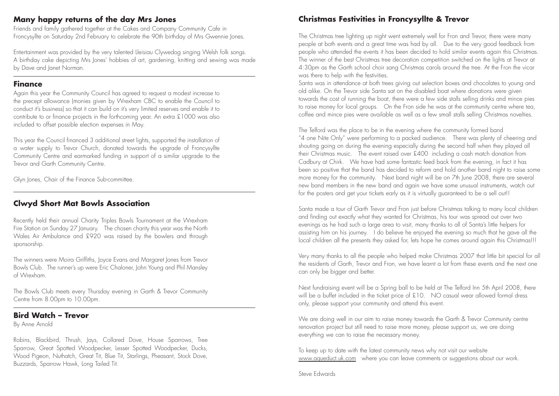### **Many happy returns of the day Mrs Jones**

Friends and family gathered together at the Cakes and Company Community Cafe in Froncysyllte on Saturday 2nd February to celebrate the 90th birthday of Mrs Gwennie Jones.

Entertainment was provided by the very talented Lleisiau Clywedog singing Welsh folk songs. A birthday cake depicting Mrs Jones' hobbies of art, gardening, knitting and sewing was made by Dave and Janet Norman.

#### **Finance**

Again this year the Community Council has agreed to request a modest increase to the precept allowance (monies given by Wrexham CBC to enable the Council to conduct it's business) so that it can build on it's very limited reserves and enable it to contribute to or finance projects in the forthcoming year. An extra £1000 was also included to offset possible election expenses in May.

This year the Council financed 3 additional street lights, supported the installation of a water supply to Trevor Church, donated towards the upgrade of Froncysyllte Community Centre and earmarked funding in support of a similar upgrade to the Trevor and Garth Community Centre.

Glyn Jones, Chair of the Finance Sub-committee.

# **Clwyd Short Mat Bowls Association**

Recently held their annual Charity Triples Bowls Tournament at the Wrexham Fire Station on Sunday 27 January. The chosen charity this year was the North Wales Air Ambulance and £920 was raised by the bowlers and through sponsorship.

The winners were Moira Griffiths, Joyce Evans and Margaret Jones from Trevor Bowls Club. The runner's up were Eric Chaloner, John Young and Phil Mansley of Wrexham.

The Bowls Club meets every Thursday evening in Garth & Trevor Community Centre from 8.00pm to 10.00pm.

# **Bird Watch – Trevor**

By Anne Arnold

Robins, Blackbird, Thrush, Jays, Collared Dove, House Sparrows, Tree Sparrow, Great Spotted Woodpecker, Lesser Spotted Woodpecker, Ducks, Wood Pigeon, Nuthatch, Great Tit, Blue Tit, Starlings, Pheasant, Stock Dove, Buzzards, Sparrow Hawk, Long Tailed Tit.

# **Christmas Festivities in Froncysyllte & Trevor**

The Christmas tree lighting up night went extremely well for Fron and Trevor, there were many people at both events and a great time was had by all. Due to the very good feedback from people who attended the events it has been decided to hold similar events again this Christmas. The winner of the best Christmas tree decoration competition switched on the lights at Trevor at 4:30pm as the Garth school choir sang Christmas carols around the tree. At the Fron the vicar was there to help with the festivities.

Santa was in attendance at both trees giving out selection boxes and chocolates to young and old alike. On the Trevor side Santa sat on the disabled boat where donations were given towards the cost of running the boat, there were a few side stalls selling drinks and mince pies to raise money for local groups. On the Fron side he was at the community centre where tea, coffee and mince pies were available as well as a few small stalls selling Christmas novelties.

The Telford was the place to be in the evening where the community formed band "4 one Nite Only" were performing to a packed audience. There was plenty of cheering and shouting going on during the evening especially during the second half when they played all their Christmas music. The event raised over £400 including a cash match donation from Cadbury at Chirk. We have had some fantastic feed back from the evening, in fact it has been so positive that the band has decided to reform and hold another band night to raise some more money for the community. Next band night will be on 7th June 2008, there are several new band members in the new band and again we have some unusual instruments, watch out for the posters and get your tickets early as it is virtually guaranteed to be a sell out!!

Santa made a tour of Garth Trevor and Fron just before Christmas talking to many local children and finding out exactly what they wanted for Christmas, his tour was spread out over two evenings as he had such a large area to visit, many thanks to all of Santa's little helpers for assisting him on his journey. I do believe he enjoyed the evening so much that he gave all the local children all the presents they asked for, lets hope he comes around again this Christmas!!!

Very many thanks to all the people who helped make Christmas 2007 that little bit special for all the residents of Garth, Trevor and Fron, we have learnt a lot from these events and the next one can only be bigger and better.

Next fundraising event will be a Spring ball to be held at The Telford Inn 5th April 2008, there will be a buffet included in the ticket price of £10. NO casual wear allowed formal dress only, please support your community and attend this event.

We are doing well in our aim to raise money towards the Garth & Trevor Community centre renovation project but still need to raise more money, please support us, we are doing everything we can to raise the necessary money.

To keep up to date with the latest community news why not visit our website www.aqueduct.uk.com where you can leave comments or suggestions about our work.

Steve Edwards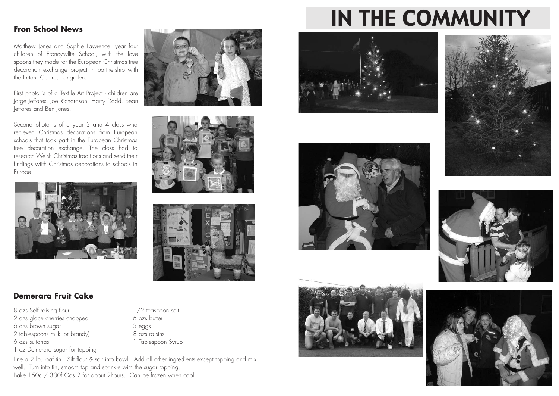#### **Fron School News**

Matthew Jones and Sophie Lawrence, year four children of Froncysyllte School, with the love spoons they made for the European Christmas tree decoration exchange project in partnership with the Ectarc Centre, Llangollen.

First photo is of a Textile Art Project - children are Jorge Jeffares, Joe Richardson, Harry Dodd, Sean Jeffares and Ben Jones.

Second photo is of a year 3 and 4 class who recieved Christmas decorations from European schools that took part in the European Christmas tree decoration exchange. The class had to research Welsh Christmas traditions and send their findings wiith Christmas decorations to schools in Europe.



#### **Demerara Fruit Cake**

8 ozs Self raising flour 1/2 teaspoon salt 2 ozs glace cherries chopped 6 ozs butter 6 ozs brown sugar 3 eggs 2 tablespoons milk (or brandy) 8 ozs raisins 6 ozs sultanas 1 Tablespoon Syrup 1 oz Demerara sugar for topping

Line a 2 lb. loaf tin. Sift flour & salt into bowl. Add all other ingredients except topping and mix well. Turn into tin, smooth top and sprinkle with the sugar topping. Bake 150c / 300f Gas 2 for about 2hours. Can be frozen when cool.







# IN THE COMMUNITY











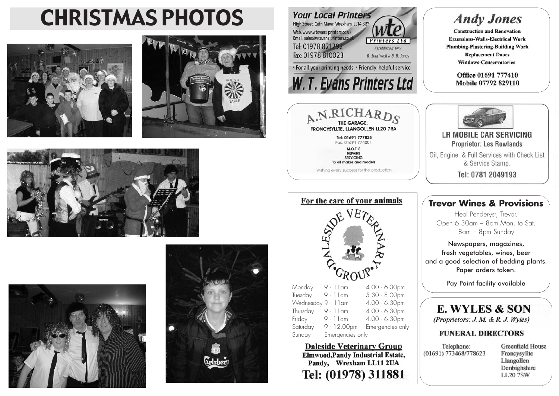# CHRISTMAS PHOTOS













Saturday 9 - 12.00pm Emergencies only

**Daleside Veterinary Group** 

**Elmwood, Pandy Industrial Estate,** 

Pandy, Wrexham LL11 2UA

Tel: (01978) 311881

Sunday Emergencies only

# **Andy Jones**

**Construction and Renovation Extensions-Walls-Electrical Work Plumbing-Plastering-Building Work Replacement Doors Windows-Conservatories** 

> Office 01691 777410 Mobile 07792 829110



Tel: 0781 2049193

# **Trevor Wines & Provisions**

Heol Penderyst, Trevor. Open 6.30am – 8om Mon. to Sat. 8am – 8pm Sunday

Newspapers, magazines, fresh vegetables, wines, beer and a good selection of bedding plants. Paper orders taken.

E. WYLES & SON

(Proprietors: J. M. & R. J. Wyles)

#### **FUNERAL DIRECTORS**

Telephone: (01691) 773468/778623

**Greenfield House** Froncysvllte Llangollen Denbighshire **LL20 7SW**